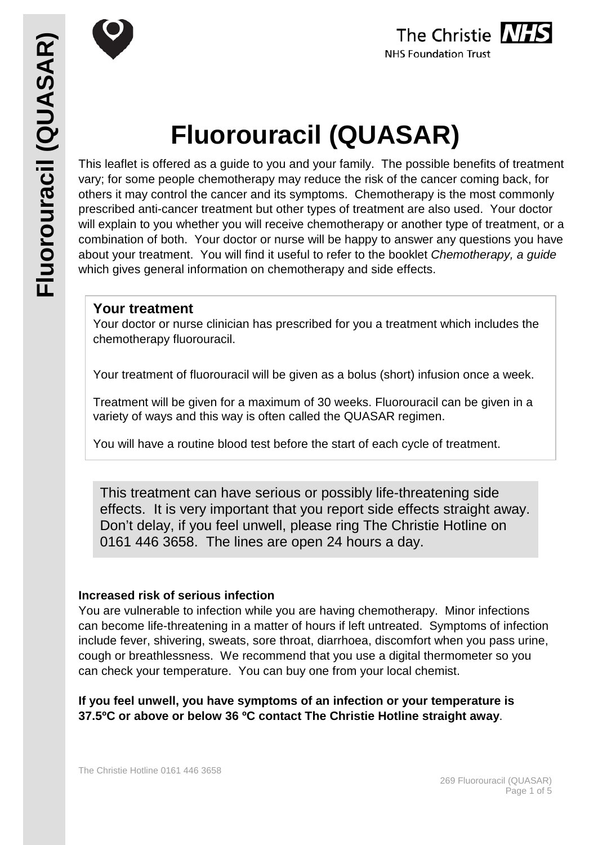



# **Fluorouracil (QUASAR)**

This leaflet is offered as a guide to you and your family. The possible benefits of treatment vary; for some people chemotherapy may reduce the risk of the cancer coming back, for others it may control the cancer and its symptoms. Chemotherapy is the most commonly prescribed anti-cancer treatment but other types of treatment are also used. Your doctor will explain to you whether you will receive chemotherapy or another type of treatment, or a combination of both. Your doctor or nurse will be happy to answer any questions you have about your treatment. You will find it useful to refer to the booklet *Chemotherapy, a guide* which gives general information on chemotherapy and side effects.

#### **Your treatment**

Your doctor or nurse clinician has prescribed for you a treatment which includes the chemotherapy fluorouracil.

Your treatment of fluorouracil will be given as a bolus (short) infusion once a week.

Treatment will be given for a maximum of 30 weeks. Fluorouracil can be given in a variety of ways and this way is often called the QUASAR regimen.

You will have a routine blood test before the start of each cycle of treatment.

This treatment can have serious or possibly life-threatening side effects. It is very important that you report side effects straight away. Don't delay, if you feel unwell, please ring The Christie Hotline on 0161 446 3658. The lines are open 24 hours a day.

#### **Increased risk of serious infection**

You are vulnerable to infection while you are having chemotherapy. Minor infections can become life-threatening in a matter of hours if left untreated. Symptoms of infection include fever, shivering, sweats, sore throat, diarrhoea, discomfort when you pass urine, cough or breathlessness. We recommend that you use a digital thermometer so you can check your temperature. You can buy one from your local chemist.

**If you feel unwell, you have symptoms of an infection or your temperature is 37.5ºC or above or below 36 ºC contact The Christie Hotline straight away**.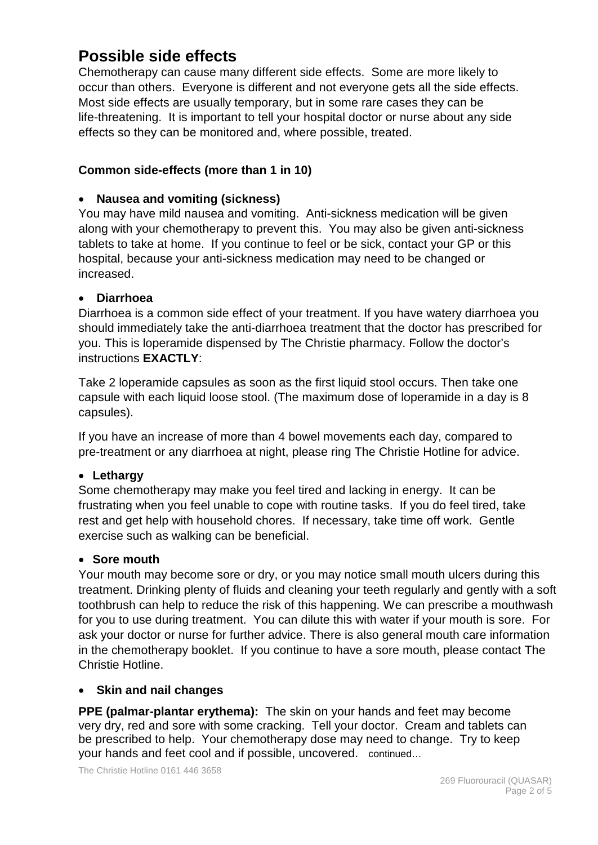## **Possible side effects**

Chemotherapy can cause many different side effects. Some are more likely to occur than others. Everyone is different and not everyone gets all the side effects. Most side effects are usually temporary, but in some rare cases they can be life-threatening. It is important to tell your hospital doctor or nurse about any side effects so they can be monitored and, where possible, treated.

#### **Common side-effects (more than 1 in 10)**

#### • **Nausea and vomiting (sickness)**

You may have mild nausea and vomiting. Anti-sickness medication will be given along with your chemotherapy to prevent this. You may also be given anti-sickness tablets to take at home. If you continue to feel or be sick, contact your GP or this hospital, because your anti-sickness medication may need to be changed or increased.

#### • **Diarrhoea**

Diarrhoea is a common side effect of your treatment. If you have watery diarrhoea you should immediately take the anti-diarrhoea treatment that the doctor has prescribed for you. This is loperamide dispensed by The Christie pharmacy. Follow the doctor's instructions **EXACTLY**:

Take 2 loperamide capsules as soon as the first liquid stool occurs. Then take one capsule with each liquid loose stool. (The maximum dose of loperamide in a day is 8 capsules).

If you have an increase of more than 4 bowel movements each day, compared to pre-treatment or any diarrhoea at night, please ring The Christie Hotline for advice.

#### • **Lethargy**

Some chemotherapy may make you feel tired and lacking in energy. It can be frustrating when you feel unable to cope with routine tasks. If you do feel tired, take rest and get help with household chores. If necessary, take time off work. Gentle exercise such as walking can be beneficial.

#### • **Sore mouth**

Your mouth may become sore or dry, or you may notice small mouth ulcers during this treatment. Drinking plenty of fluids and cleaning your teeth regularly and gently with a soft toothbrush can help to reduce the risk of this happening. We can prescribe a mouthwash for you to use during treatment. You can dilute this with water if your mouth is sore. For ask your doctor or nurse for further advice. There is also general mouth care information in the chemotherapy booklet. If you continue to have a sore mouth, please contact The Christie Hotline.

#### • **Skin and nail changes**

**PPE (palmar-plantar erythema):** The skin on your hands and feet may become very dry, red and sore with some cracking. Tell your doctor. Cream and tablets can be prescribed to help. Your chemotherapy dose may need to change. Try to keep your hands and feet cool and if possible, uncovered. continued…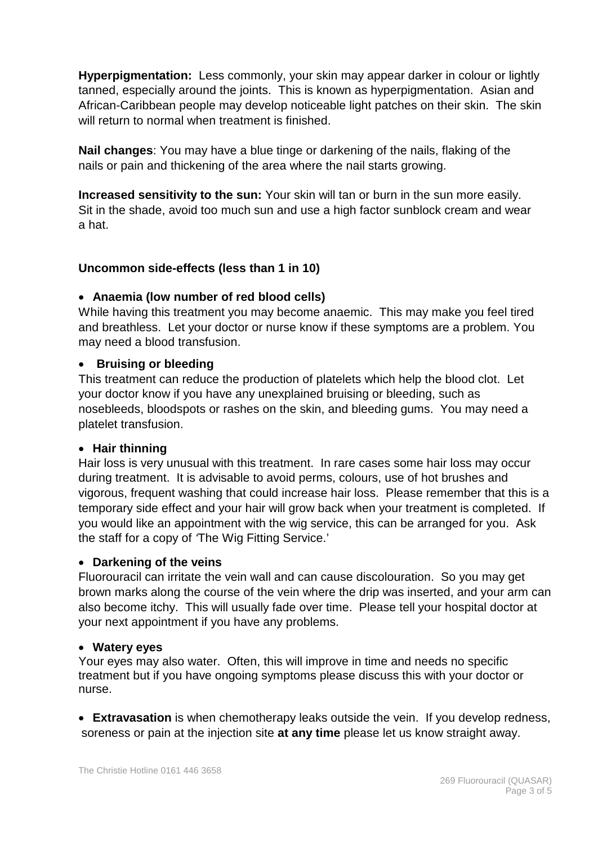**Hyperpigmentation:** Less commonly, your skin may appear darker in colour or lightly tanned, especially around the joints. This is known as hyperpigmentation. Asian and African-Caribbean people may develop noticeable light patches on their skin. The skin will return to normal when treatment is finished.

**Nail changes**: You may have a blue tinge or darkening of the nails, flaking of the nails or pain and thickening of the area where the nail starts growing.

**Increased sensitivity to the sun:** Your skin will tan or burn in the sun more easily. Sit in the shade, avoid too much sun and use a high factor sunblock cream and wear a hat.

#### **Uncommon side-effects (less than 1 in 10)**

#### • **Anaemia (low number of red blood cells)**

While having this treatment you may become anaemic. This may make you feel tired and breathless. Let your doctor or nurse know if these symptoms are a problem. You may need a blood transfusion.

#### • **Bruising or bleeding**

This treatment can reduce the production of platelets which help the blood clot. Let your doctor know if you have any unexplained bruising or bleeding, such as nosebleeds, bloodspots or rashes on the skin, and bleeding gums. You may need a platelet transfusion.

#### • **Hair thinning**

Hair loss is very unusual with this treatment. In rare cases some hair loss may occur during treatment. It is advisable to avoid perms, colours, use of hot brushes and vigorous, frequent washing that could increase hair loss. Please remember that this is a temporary side effect and your hair will grow back when your treatment is completed. If you would like an appointment with the wig service, this can be arranged for you. Ask the staff for a copy of *'*The Wig Fitting Service.'

#### • **Darkening of the veins**

Fluorouracil can irritate the vein wall and can cause discolouration. So you may get brown marks along the course of the vein where the drip was inserted, and your arm can also become itchy. This will usually fade over time. Please tell your hospital doctor at your next appointment if you have any problems.

#### • **Watery eyes**

Your eyes may also water. Often, this will improve in time and needs no specific treatment but if you have ongoing symptoms please discuss this with your doctor or nurse.

• **Extravasation** is when chemotherapy leaks outside the vein. If you develop redness, soreness or pain at the injection site **at any time** please let us know straight away.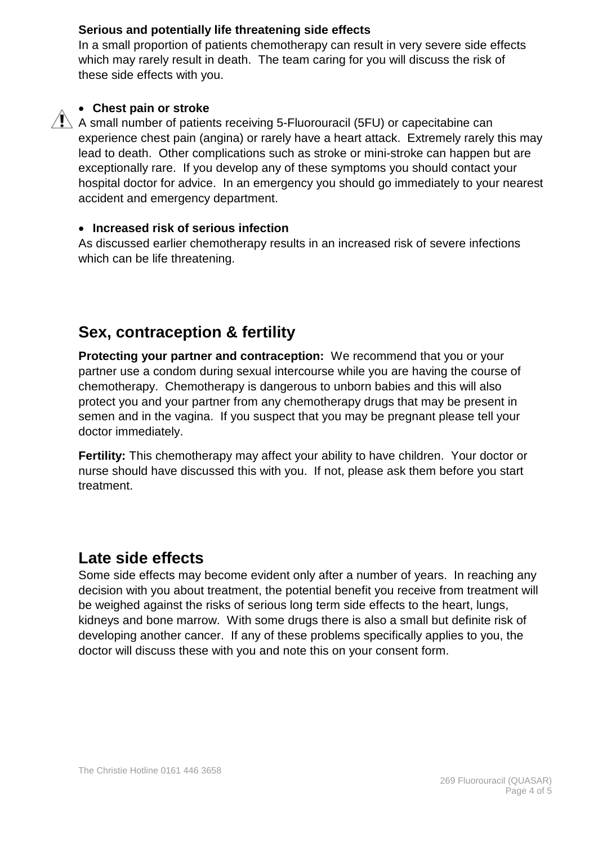#### **Serious and potentially life threatening side effects**

In a small proportion of patients chemotherapy can result in very severe side effects which may rarely result in death. The team caring for you will discuss the risk of these side effects with you.



#### • **Chest pain or stroke**

 $\sqrt{!}$  A small number of patients receiving 5-Fluorouracil (5FU) or capecitabine can experience chest pain (angina) or rarely have a heart attack. Extremely rarely this may lead to death. Other complications such as stroke or mini-stroke can happen but are exceptionally rare. If you develop any of these symptoms you should contact your hospital doctor for advice. In an emergency you should go immediately to your nearest accident and emergency department.

#### • **Increased risk of serious infection**

As discussed earlier chemotherapy results in an increased risk of severe infections which can be life threatening.

# **Sex, contraception & fertility**

**Protecting your partner and contraception:** We recommend that you or your partner use a condom during sexual intercourse while you are having the course of chemotherapy. Chemotherapy is dangerous to unborn babies and this will also protect you and your partner from any chemotherapy drugs that may be present in semen and in the vagina. If you suspect that you may be pregnant please tell your doctor immediately.

**Fertility:** This chemotherapy may affect your ability to have children. Your doctor or nurse should have discussed this with you. If not, please ask them before you start treatment.

## **Late side effects**

Some side effects may become evident only after a number of years. In reaching any decision with you about treatment, the potential benefit you receive from treatment will be weighed against the risks of serious long term side effects to the heart, lungs, kidneys and bone marrow. With some drugs there is also a small but definite risk of developing another cancer. If any of these problems specifically applies to you, the doctor will discuss these with you and note this on your consent form.